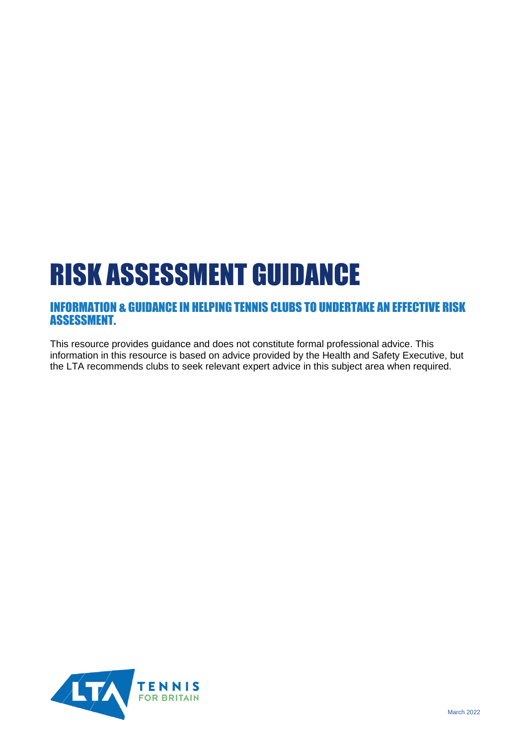# RISK ASSESSMENT GUIDANCE

# INFORMATION & GUIDANCE IN HELPING TENNIS CLUBS TO UNDERTAKE AN EFFECTIVE RISK ASSESSMENT.

This resource provides guidance and does not constitute formal professional advice. This information in this resource is based on advice provided by the Health and Safety Executive, but the LTA recommends clubs to seek relevant expert advice in this subject area when required.

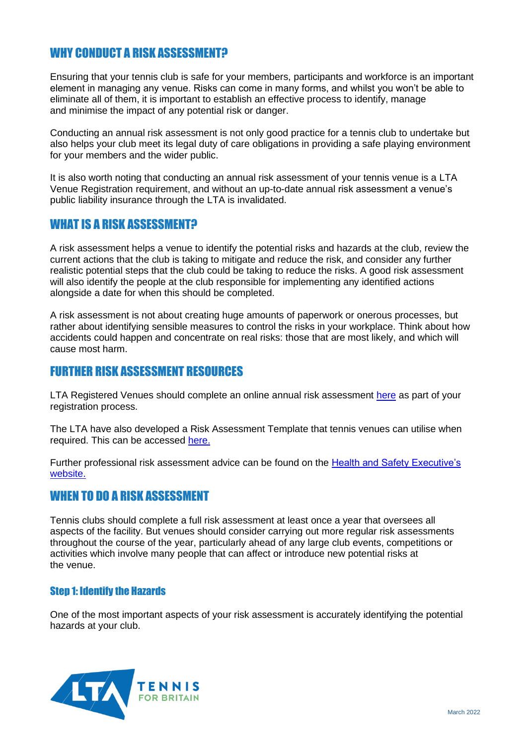# WHY CONDUCT A RISK ASSESSMENT?

Ensuring that your tennis club is safe for your members, participants and workforce is an important element in managing any venue. Risks can come in many forms, and whilst you won't be able to eliminate all of them, it is important to establish an effective process to identify, manage and minimise the impact of any potential risk or danger.

Conducting an annual risk assessment is not only good practice for a tennis club to undertake but also helps your club meet its legal duty of care obligations in providing a safe playing environment for your members and the wider public.

It is also worth noting that conducting an annual risk assessment of your tennis venue is a LTA Venue Registration requirement, and without an up-to-date annual risk assessment a venue's public liability insurance through the LTA is invalidated.

## WHAT IS A RISK ASSESSMENT?

A risk assessment helps a venue to identify the potential risks and hazards at the club, review the current actions that the club is taking to mitigate and reduce the risk, and consider any further realistic potential steps that the club could be taking to reduce the risks. A good risk assessment will also identify the people at the club responsible for implementing any identified actions alongside a date for when this should be completed.

A risk assessment is not about creating huge amounts of paperwork or onerous processes, but rather about identifying sensible measures to control the risks in your workplace. Think about how accidents could happen and concentrate on real risks: those that are most likely, and which will cause most harm.

## FURTHER RISK ASSESSMENT RESOURCES

LTA Registered Venues should complete an online annual risk assessment [here](https://www.howdengroup.com/uk-en/lawn-tennis-association) as part of your registration process.

The LTA have also developed a Risk Assessment Template that tennis venues can utilise when required. This can be accessed [here.](https://www.lta.org.uk/roles-and-venues/venues/resource-library/)

Further professional risk assessment advice can be found on the [Health and Safety Executive's](https://www.hse.gov.uk/pubns/indg163.htm) [website.](https://www.hse.gov.uk/pubns/indg163.htm)

### WHEN TO DO A RISK ASSESSMENT

Tennis clubs should complete a full risk assessment at least once a year that oversees all aspects of the facility. But venues should consider carrying out more regular risk assessments throughout the course of the year, particularly ahead of any large club events, competitions or activities which involve many people that can affect or introduce new potential risks at the venue.

#### Step 1: Identify the Hazards

One of the most important aspects of your risk assessment is accurately identifying the potential hazards at your club.

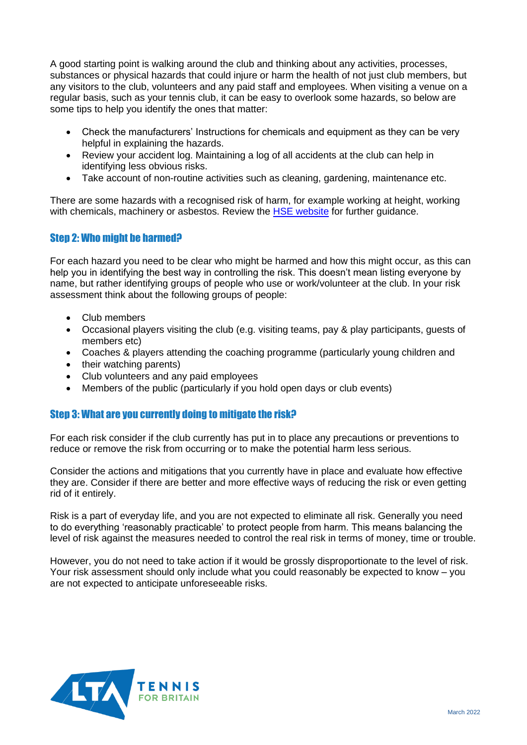A good starting point is walking around the club and thinking about any activities, processes, substances or physical hazards that could injure or harm the health of not just club members, but any visitors to the club, volunteers and any paid staff and employees. When visiting a venue on a regular basis, such as your tennis club, it can be easy to overlook some hazards, so below are some tips to help you identify the ones that matter:

- Check the manufacturers' Instructions for chemicals and equipment as they can be very helpful in explaining the hazards.
- Review your accident log. Maintaining a log of all accidents at the club can help in identifying less obvious risks.
- Take account of non-routine activities such as cleaning, gardening, maintenance etc.

There are some hazards with a recognised risk of harm, for example working at height, working with chemicals, machinery or asbestos. Review the [HSE website](https://www.hse.gov.uk/) for further guidance.

#### Step 2: Who might be harmed?

For each hazard you need to be clear who might be harmed and how this might occur, as this can help you in identifying the best way in controlling the risk. This doesn't mean listing everyone by name, but rather identifying groups of people who use or work/volunteer at the club. In your risk assessment think about the following groups of people:

- Club members
- Occasional players visiting the club (e.g. visiting teams, pay & play participants, guests of members etc)
- Coaches & players attending the coaching programme (particularly young children and
- their watching parents)
- Club volunteers and any paid employees
- Members of the public (particularly if you hold open days or club events)

#### Step 3: What are you currently doing to mitigate the risk?

For each risk consider if the club currently has put in to place any precautions or preventions to reduce or remove the risk from occurring or to make the potential harm less serious.

Consider the actions and mitigations that you currently have in place and evaluate how effective they are. Consider if there are better and more effective ways of reducing the risk or even getting rid of it entirely.

Risk is a part of everyday life, and you are not expected to eliminate all risk. Generally you need to do everything 'reasonably practicable' to protect people from harm. This means balancing the level of risk against the measures needed to control the real risk in terms of money, time or trouble.

However, you do not need to take action if it would be grossly disproportionate to the level of risk. Your risk assessment should only include what you could reasonably be expected to know – you are not expected to anticipate unforeseeable risks.